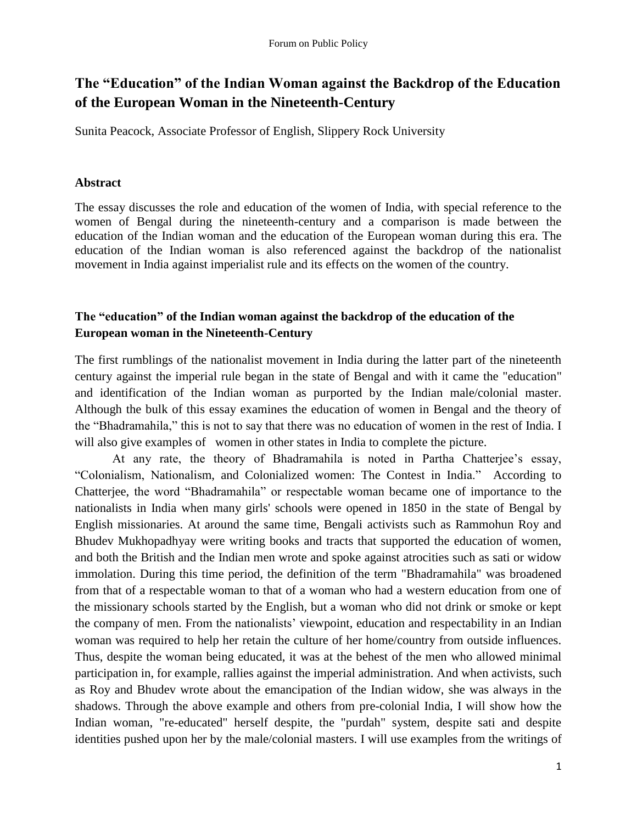# **The "Education" of the Indian Woman against the Backdrop of the Education of the European Woman in the Nineteenth-Century**

Sunita Peacock, Associate Professor of English, Slippery Rock University

### **Abstract**

The essay discusses the role and education of the women of India, with special reference to the women of Bengal during the nineteenth-century and a comparison is made between the education of the Indian woman and the education of the European woman during this era. The education of the Indian woman is also referenced against the backdrop of the nationalist movement in India against imperialist rule and its effects on the women of the country.

# **The "education" of the Indian woman against the backdrop of the education of the European woman in the Nineteenth-Century**

The first rumblings of the nationalist movement in India during the latter part of the nineteenth century against the imperial rule began in the state of Bengal and with it came the "education" and identification of the Indian woman as purported by the Indian male/colonial master. Although the bulk of this essay examines the education of women in Bengal and the theory of the "Bhadramahila," this is not to say that there was no education of women in the rest of India. I will also give examples of women in other states in India to complete the picture.

At any rate, the theory of Bhadramahila is noted in Partha Chatterjee's essay, "Colonialism, Nationalism, and Colonialized women: The Contest in India." According to Chatterjee, the word "Bhadramahila" or respectable woman became one of importance to the nationalists in India when many girls' schools were opened in 1850 in the state of Bengal by English missionaries. At around the same time, Bengali activists such as Rammohun Roy and Bhudev Mukhopadhyay were writing books and tracts that supported the education of women, and both the British and the Indian men wrote and spoke against atrocities such as sati or widow immolation. During this time period, the definition of the term "Bhadramahila" was broadened from that of a respectable woman to that of a woman who had a western education from one of the missionary schools started by the English, but a woman who did not drink or smoke or kept the company of men. From the nationalists' viewpoint, education and respectability in an Indian woman was required to help her retain the culture of her home/country from outside influences. Thus, despite the woman being educated, it was at the behest of the men who allowed minimal participation in, for example, rallies against the imperial administration. And when activists, such as Roy and Bhudev wrote about the emancipation of the Indian widow, she was always in the shadows. Through the above example and others from pre-colonial India, I will show how the Indian woman, "re-educated" herself despite, the "purdah" system, despite sati and despite identities pushed upon her by the male/colonial masters. I will use examples from the writings of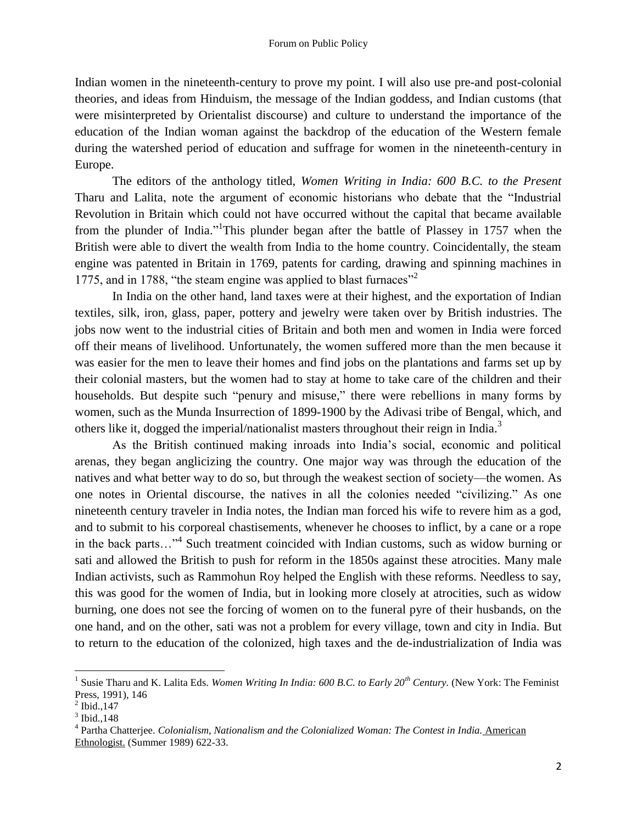Indian women in the nineteenth-century to prove my point. I will also use pre-and post-colonial theories, and ideas from Hinduism, the message of the Indian goddess, and Indian customs (that were misinterpreted by Orientalist discourse) and culture to understand the importance of the education of the Indian woman against the backdrop of the education of the Western female during the watershed period of education and suffrage for women in the nineteenth-century in Europe.

The editors of the anthology titled, *Women Writing in India: 600 B.C. to the Present* Tharu and Lalita, note the argument of economic historians who debate that the "Industrial Revolution in Britain which could not have occurred without the capital that became available from the plunder of India."<sup>1</sup>This plunder began after the battle of Plassey in 1757 when the British were able to divert the wealth from India to the home country. Coincidentally, the steam engine was patented in Britain in 1769, patents for carding, drawing and spinning machines in 1775, and in 1788, "the steam engine was applied to blast furnaces"<sup>2</sup>

In India on the other hand, land taxes were at their highest, and the exportation of Indian textiles, silk, iron, glass, paper, pottery and jewelry were taken over by British industries. The jobs now went to the industrial cities of Britain and both men and women in India were forced off their means of livelihood. Unfortunately, the women suffered more than the men because it was easier for the men to leave their homes and find jobs on the plantations and farms set up by their colonial masters, but the women had to stay at home to take care of the children and their households. But despite such "penury and misuse," there were rebellions in many forms by women, such as the Munda Insurrection of 1899-1900 by the Adivasi tribe of Bengal, which, and others like it, dogged the imperial/nationalist masters throughout their reign in India.<sup>3</sup>

As the British continued making inroads into India"s social, economic and political arenas, they began anglicizing the country. One major way was through the education of the natives and what better way to do so, but through the weakest section of society—the women. As one notes in Oriental discourse, the natives in all the colonies needed "civilizing." As one nineteenth century traveler in India notes, the Indian man forced his wife to revere him as a god, and to submit to his corporeal chastisements, whenever he chooses to inflict, by a cane or a rope in the back parts…" 4 Such treatment coincided with Indian customs, such as widow burning or sati and allowed the British to push for reform in the 1850s against these atrocities. Many male Indian activists, such as Rammohun Roy helped the English with these reforms. Needless to say, this was good for the women of India, but in looking more closely at atrocities, such as widow burning, one does not see the forcing of women on to the funeral pyre of their husbands, on the one hand, and on the other, sati was not a problem for every village, town and city in India. But to return to the education of the colonized, high taxes and the de-industrialization of India was

 1 Susie Tharu and K. Lalita Eds. *Women Writing In India: 600 B.C. to Early 20th Century.* (New York: The Feminist Press, 1991), 146

 $^{2}$  Ibid., 147

 $3$  Ibid., 148

<sup>4</sup> Partha Chatterjee. *Colonialism, Nationalism and the Colonialized Woman: The Contest in India.* American Ethnologist. (Summer 1989) 622-33.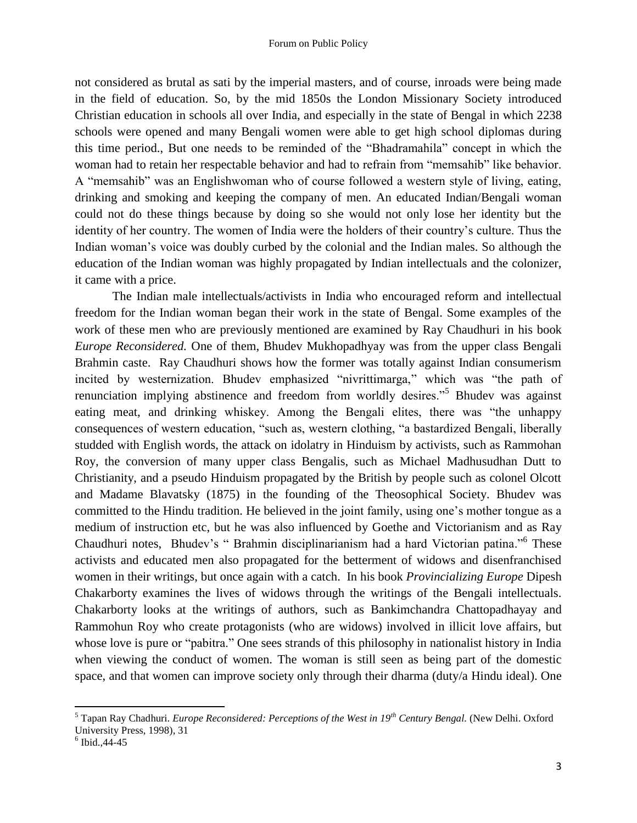not considered as brutal as sati by the imperial masters, and of course, inroads were being made in the field of education. So, by the mid 1850s the London Missionary Society introduced Christian education in schools all over India, and especially in the state of Bengal in which 2238 schools were opened and many Bengali women were able to get high school diplomas during this time period., But one needs to be reminded of the "Bhadramahila" concept in which the woman had to retain her respectable behavior and had to refrain from "memsahib" like behavior. A "memsahib" was an Englishwoman who of course followed a western style of living, eating, drinking and smoking and keeping the company of men. An educated Indian/Bengali woman could not do these things because by doing so she would not only lose her identity but the identity of her country. The women of India were the holders of their country"s culture. Thus the Indian woman's voice was doubly curbed by the colonial and the Indian males. So although the education of the Indian woman was highly propagated by Indian intellectuals and the colonizer, it came with a price.

The Indian male intellectuals/activists in India who encouraged reform and intellectual freedom for the Indian woman began their work in the state of Bengal. Some examples of the work of these men who are previously mentioned are examined by Ray Chaudhuri in his book *Europe Reconsidered.* One of them, Bhudev Mukhopadhyay was from the upper class Bengali Brahmin caste. Ray Chaudhuri shows how the former was totally against Indian consumerism incited by westernization. Bhudev emphasized "nivrittimarga," which was "the path of renunciation implying abstinence and freedom from worldly desires."<sup>5</sup> Bhudev was against eating meat, and drinking whiskey. Among the Bengali elites, there was "the unhappy consequences of western education, "such as, western clothing, "a bastardized Bengali, liberally studded with English words, the attack on idolatry in Hinduism by activists, such as Rammohan Roy, the conversion of many upper class Bengalis, such as Michael Madhusudhan Dutt to Christianity, and a pseudo Hinduism propagated by the British by people such as colonel Olcott and Madame Blavatsky (1875) in the founding of the Theosophical Society. Bhudev was committed to the Hindu tradition. He believed in the joint family, using one"s mother tongue as a medium of instruction etc, but he was also influenced by Goethe and Victorianism and as Ray Chaudhuri notes, Bhudev's "Brahmin disciplinarianism had a hard Victorian patina."<sup>6</sup> These activists and educated men also propagated for the betterment of widows and disenfranchised women in their writings, but once again with a catch. In his book *Provincializing Europe* Dipesh Chakarborty examines the lives of widows through the writings of the Bengali intellectuals. Chakarborty looks at the writings of authors, such as Bankimchandra Chattopadhayay and Rammohun Roy who create protagonists (who are widows) involved in illicit love affairs, but whose love is pure or "pabitra." One sees strands of this philosophy in nationalist history in India when viewing the conduct of women. The woman is still seen as being part of the domestic space, and that women can improve society only through their dharma (duty/a Hindu ideal). One

 $\overline{\phantom{a}}$ 

<sup>5</sup> Tapan Ray Chadhuri. *Europe Reconsidered: Perceptions of the West in 19th Century Bengal.* (New Delhi. Oxford University Press, 1998), 31

 $6$  Ibid., 44-45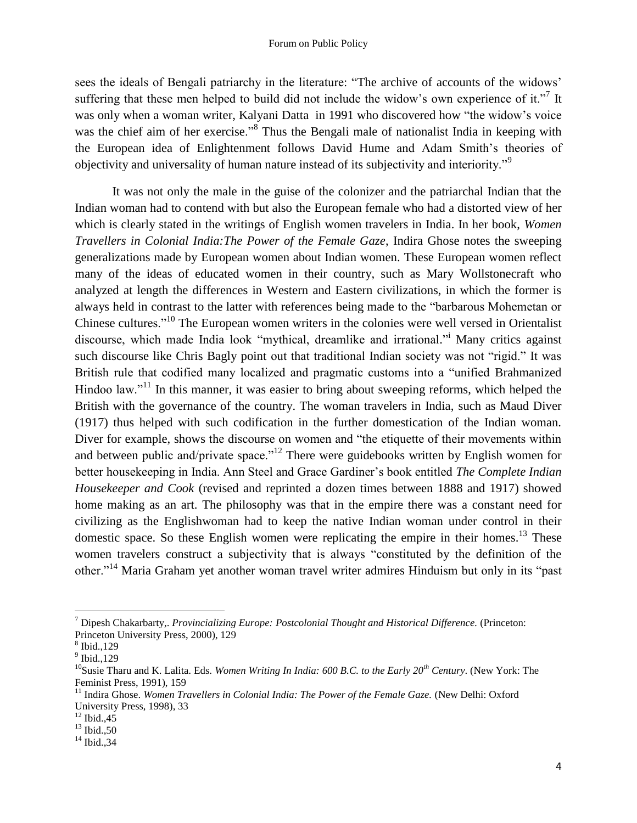sees the ideals of Bengali patriarchy in the literature: "The archive of accounts of the widows" suffering that these men helped to build did not include the widow's own experience of it."<sup>7</sup> It was only when a woman writer, Kalyani Datta in 1991 who discovered how "the widow"s voice was the chief aim of her exercise."<sup>8</sup> Thus the Bengali male of nationalist India in keeping with the European idea of Enlightenment follows David Hume and Adam Smith"s theories of objectivity and universality of human nature instead of its subjectivity and interiority."<sup>9</sup>

It was not only the male in the guise of the colonizer and the patriarchal Indian that the Indian woman had to contend with but also the European female who had a distorted view of her which is clearly stated in the writings of English women travelers in India. In her book, *Women Travellers in Colonial India:The Power of the Female Gaze*, Indira Ghose notes the sweeping generalizations made by European women about Indian women. These European women reflect many of the ideas of educated women in their country, such as Mary Wollstonecraft who analyzed at length the differences in Western and Eastern civilizations, in which the former is always held in contrast to the latter with references being made to the "barbarous Mohemetan or Chinese cultures."<sup>10</sup> The European women writers in the colonies were well versed in Orientalist discourse, which made India look "mythical, dreamlike and irrational." Many critics against such discourse like Chris Bagly point out that traditional Indian society was not "rigid." It was British rule that codified many localized and pragmatic customs into a "unified Brahmanized Hindoo law."<sup>11</sup> In this manner, it was easier to bring about sweeping reforms, which helped the British with the governance of the country. The woman travelers in India, such as Maud Diver (1917) thus helped with such codification in the further domestication of the Indian woman. Diver for example, shows the discourse on women and "the etiquette of their movements within and between public and/private space."<sup>12</sup> There were guidebooks written by English women for better housekeeping in India. Ann Steel and Grace Gardiner"s book entitled *The Complete Indian Housekeeper and Cook* (revised and reprinted a dozen times between 1888 and 1917) showed home making as an art. The philosophy was that in the empire there was a constant need for civilizing as the Englishwoman had to keep the native Indian woman under control in their domestic space. So these English women were replicating the empire in their homes.<sup>13</sup> These women travelers construct a subjectivity that is always "constituted by the definition of the other."<sup>14</sup> Maria Graham yet another woman travel writer admires Hinduism but only in its "past

 $\overline{\phantom{a}}$ 

<sup>7</sup> Dipesh Chakarbarty,. *Provincializing Europe: Postcolonial Thought and Historical Difference.* (Princeton: Princeton University Press, 2000), 129

<sup>8</sup> Ibid.,129

<sup>9</sup> Ibid.,129

<sup>&</sup>lt;sup>10</sup>Susie Tharu and K. Lalita. Eds. *Women Writing In India: 600 B.C. to the Early 20<sup>th</sup> Century.* (New York: The Feminist Press, 1991), 159

<sup>&</sup>lt;sup>11</sup> Indira Ghose. *Women Travellers in Colonial India: The Power of the Female Gaze.* (New Delhi: Oxford University Press, 1998), 33

 $12$  Ibid., 45

 $^{13}$  Ibid., 50

 $14$  Ibid., 34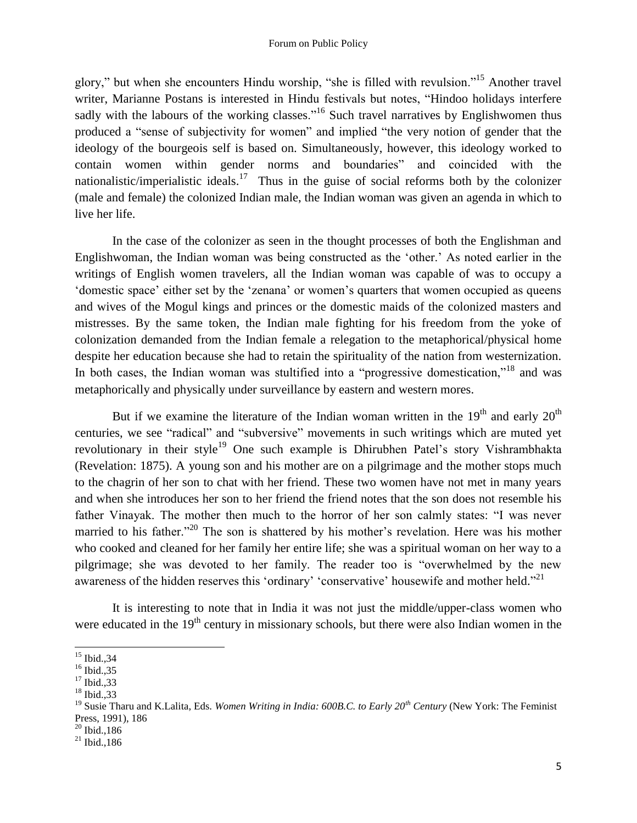#### Forum on Public Policy

glory," but when she encounters Hindu worship, "she is filled with revulsion."<sup>15</sup> Another travel writer, Marianne Postans is interested in Hindu festivals but notes, "Hindoo holidays interfere sadly with the labours of the working classes."<sup>16</sup> Such travel narratives by Englishwomen thus produced a "sense of subjectivity for women" and implied "the very notion of gender that the ideology of the bourgeois self is based on. Simultaneously, however, this ideology worked to contain women within gender norms and boundaries" and coincided with the nationalistic/imperialistic ideals.<sup>17</sup> Thus in the guise of social reforms both by the colonizer (male and female) the colonized Indian male, the Indian woman was given an agenda in which to live her life.

In the case of the colonizer as seen in the thought processes of both the Englishman and Englishwoman, the Indian woman was being constructed as the "other." As noted earlier in the writings of English women travelers, all the Indian woman was capable of was to occupy a "domestic space" either set by the "zenana" or women"s quarters that women occupied as queens and wives of the Mogul kings and princes or the domestic maids of the colonized masters and mistresses. By the same token, the Indian male fighting for his freedom from the yoke of colonization demanded from the Indian female a relegation to the metaphorical/physical home despite her education because she had to retain the spirituality of the nation from westernization. In both cases, the Indian woman was stultified into a "progressive domestication,"<sup>18</sup> and was metaphorically and physically under surveillance by eastern and western mores.

But if we examine the literature of the Indian woman written in the  $19<sup>th</sup>$  and early  $20<sup>th</sup>$ centuries, we see "radical" and "subversive" movements in such writings which are muted yet revolutionary in their style<sup>19</sup> One such example is Dhirubhen Patel's story Vishrambhakta (Revelation: 1875). A young son and his mother are on a pilgrimage and the mother stops much to the chagrin of her son to chat with her friend. These two women have not met in many years and when she introduces her son to her friend the friend notes that the son does not resemble his father Vinayak. The mother then much to the horror of her son calmly states: "I was never married to his father."<sup>20</sup> The son is shattered by his mother's revelation. Here was his mother who cooked and cleaned for her family her entire life; she was a spiritual woman on her way to a pilgrimage; she was devoted to her family. The reader too is "overwhelmed by the new awareness of the hidden reserves this 'ordinary' 'conservative' housewife and mother held."<sup>21</sup>

It is interesting to note that in India it was not just the middle/upper-class women who were educated in the  $19<sup>th</sup>$  century in missionary schools, but there were also Indian women in the

 $\overline{a}$  $15$  Ibid., 34

 $^{16}$  Ibid., 35

 $^{17}$  Ibid., 33

<sup>18</sup> Ibid.,33

<sup>&</sup>lt;sup>19</sup> Susie Tharu and K.Lalita, Eds. *Women Writing in India: 600B.C. to Early 20<sup>th</sup> Century* (New York: The Feminist Press, 1991), 186

 $^{20}$  Ibid., 186

 $^{21}$  Ibid., 186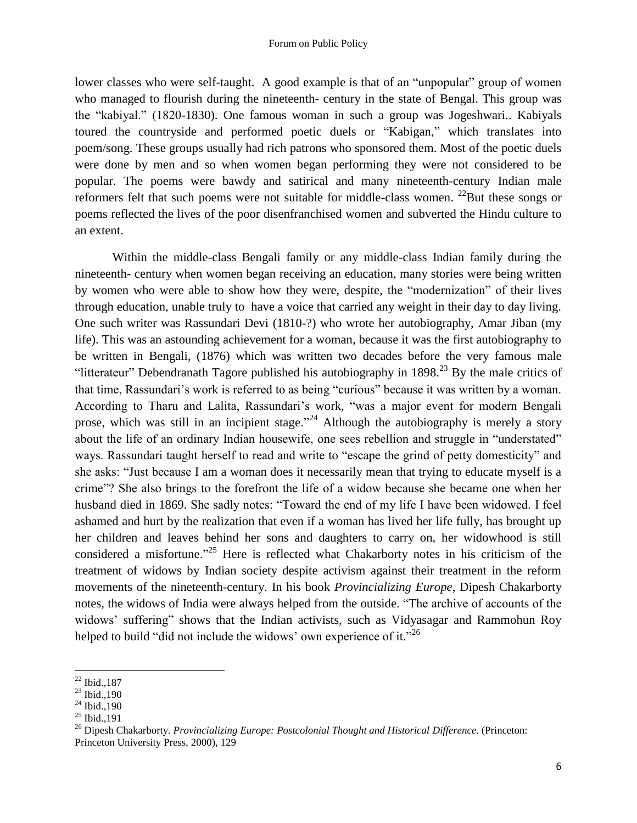#### Forum on Public Policy

lower classes who were self-taught. A good example is that of an "unpopular" group of women who managed to flourish during the nineteenth- century in the state of Bengal. This group was the "kabiyal." (1820-1830). One famous woman in such a group was Jogeshwari.. Kabiyals toured the countryside and performed poetic duels or "Kabigan," which translates into poem/song. These groups usually had rich patrons who sponsored them. Most of the poetic duels were done by men and so when women began performing they were not considered to be popular. The poems were bawdy and satirical and many nineteenth-century Indian male reformers felt that such poems were not suitable for middle-class women.  $^{22}$ But these songs or poems reflected the lives of the poor disenfranchised women and subverted the Hindu culture to an extent.

Within the middle-class Bengali family or any middle-class Indian family during the nineteenth- century when women began receiving an education, many stories were being written by women who were able to show how they were, despite, the "modernization" of their lives through education, unable truly to have a voice that carried any weight in their day to day living. One such writer was Rassundari Devi (1810-?) who wrote her autobiography, Amar Jiban (my life). This was an astounding achievement for a woman, because it was the first autobiography to be written in Bengali, (1876) which was written two decades before the very famous male "litterateur" Debendranath Tagore published his autobiography in  $1898<sup>23</sup>$  By the male critics of that time, Rassundari"s work is referred to as being "curious" because it was written by a woman. According to Tharu and Lalita, Rassundari"s work, "was a major event for modern Bengali prose, which was still in an incipient stage."<sup>24</sup> Although the autobiography is merely a story about the life of an ordinary Indian housewife, one sees rebellion and struggle in "understated" ways. Rassundari taught herself to read and write to "escape the grind of petty domesticity" and she asks: "Just because I am a woman does it necessarily mean that trying to educate myself is a crime"? She also brings to the forefront the life of a widow because she became one when her husband died in 1869. She sadly notes: "Toward the end of my life I have been widowed. I feel ashamed and hurt by the realization that even if a woman has lived her life fully, has brought up her children and leaves behind her sons and daughters to carry on, her widowhood is still considered a misfortune."<sup>25</sup> Here is reflected what Chakarborty notes in his criticism of the treatment of widows by Indian society despite activism against their treatment in the reform movements of the nineteenth-century. In his book *Provincializing Europe*, Dipesh Chakarborty notes, the widows of India were always helped from the outside. "The archive of accounts of the widows" suffering" shows that the Indian activists, such as Vidyasagar and Rammohun Roy helped to build "did not include the widows" own experience of it."<sup>26</sup>

l

 $22$  Ibid., 187

 $^{23}$  Ibid., 190

 $24$  Ibid., 190

 $^{25}$  Ibid., 191

<sup>26</sup> Dipesh Chakarborty. *Provincializing Europe: Postcolonial Thought and Historical Difference*. (Princeton: Princeton University Press, 2000), 129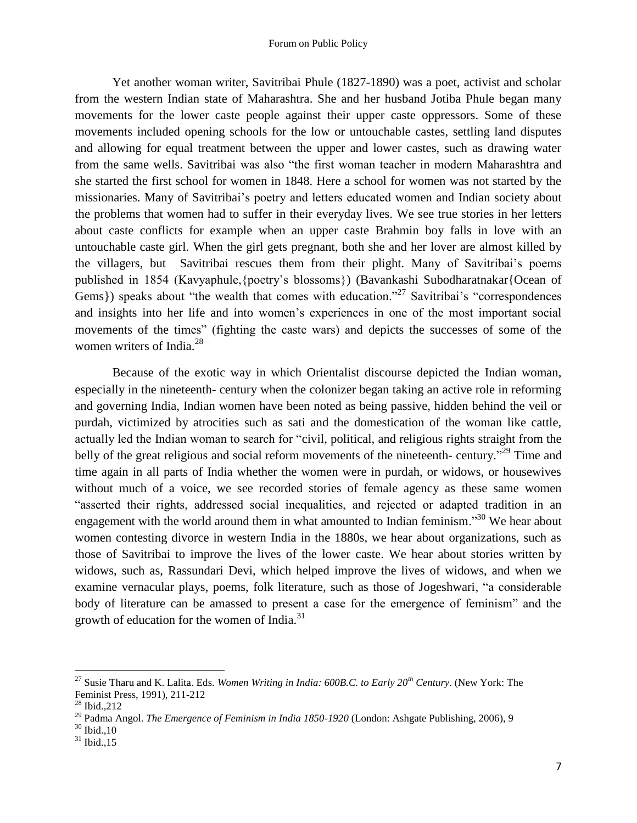Yet another woman writer, Savitribai Phule (1827-1890) was a poet, activist and scholar from the western Indian state of Maharashtra. She and her husband Jotiba Phule began many movements for the lower caste people against their upper caste oppressors. Some of these movements included opening schools for the low or untouchable castes, settling land disputes and allowing for equal treatment between the upper and lower castes, such as drawing water from the same wells. Savitribai was also "the first woman teacher in modern Maharashtra and she started the first school for women in 1848. Here a school for women was not started by the missionaries. Many of Savitribai"s poetry and letters educated women and Indian society about the problems that women had to suffer in their everyday lives. We see true stories in her letters about caste conflicts for example when an upper caste Brahmin boy falls in love with an untouchable caste girl. When the girl gets pregnant, both she and her lover are almost killed by the villagers, but Savitribai rescues them from their plight. Many of Savitribai's poems published in 1854 (Kavyaphule,{poetry"s blossoms}) (Bavankashi Subodharatnakar{Ocean of Gems}) speaks about "the wealth that comes with education."<sup>27</sup> Savitribai's "correspondences" and insights into her life and into women's experiences in one of the most important social movements of the times" (fighting the caste wars) and depicts the successes of some of the women writers of India.<sup>28</sup>

Because of the exotic way in which Orientalist discourse depicted the Indian woman, especially in the nineteenth- century when the colonizer began taking an active role in reforming and governing India, Indian women have been noted as being passive, hidden behind the veil or purdah, victimized by atrocities such as sati and the domestication of the woman like cattle, actually led the Indian woman to search for "civil, political, and religious rights straight from the belly of the great religious and social reform movements of the nineteenth- century."<sup>29</sup> Time and time again in all parts of India whether the women were in purdah, or widows, or housewives without much of a voice, we see recorded stories of female agency as these same women "asserted their rights, addressed social inequalities, and rejected or adapted tradition in an engagement with the world around them in what amounted to Indian feminism."<sup>30</sup> We hear about women contesting divorce in western India in the 1880s, we hear about organizations, such as those of Savitribai to improve the lives of the lower caste. We hear about stories written by widows, such as, Rassundari Devi, which helped improve the lives of widows, and when we examine vernacular plays, poems, folk literature, such as those of Jogeshwari, "a considerable body of literature can be amassed to present a case for the emergence of feminism" and the growth of education for the women of India. $31$ 

l

<sup>27</sup> Susie Tharu and K. Lalita. Eds. *Women Writing in India: 600B.C. to Early 20th Century*. (New York: The Feminist Press, 1991), 211-212

<sup>28</sup> Ibid.,212

<sup>29</sup> Padma Angol. *The Emergence of Feminism in India 1850-1920* (London: Ashgate Publishing, 2006), 9

 $30$  Ibid., 10

 $31$  Ibid., 15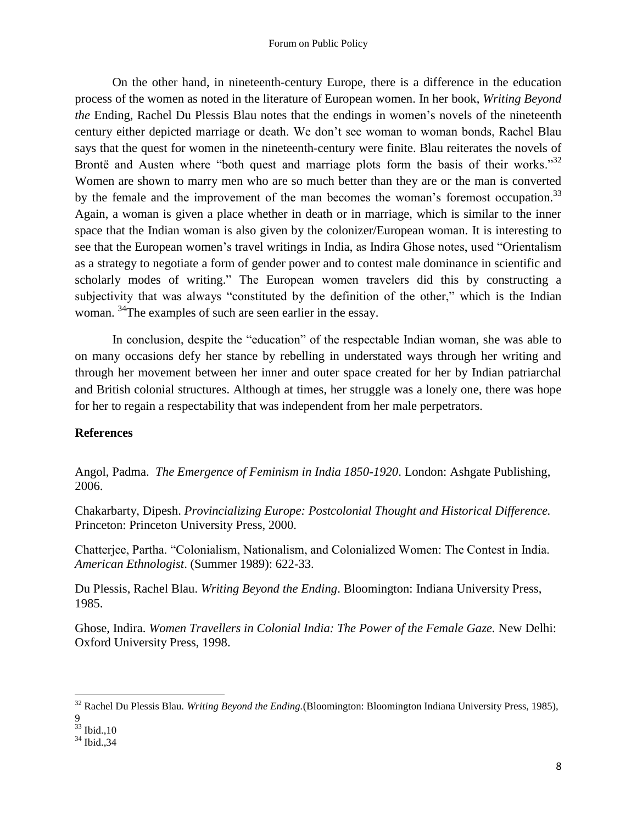On the other hand, in nineteenth-century Europe, there is a difference in the education process of the women as noted in the literature of European women. In her book, *Writing Beyond the* Ending, Rachel Du Plessis Blau notes that the endings in women's novels of the nineteenth century either depicted marriage or death. We don"t see woman to woman bonds, Rachel Blau says that the quest for women in the nineteenth-century were finite. Blau reiterates the novels of Brontë and Austen where "both quest and marriage plots form the basis of their works."<sup>32</sup> Women are shown to marry men who are so much better than they are or the man is converted by the female and the improvement of the man becomes the woman's foremost occupation.<sup>33</sup> Again, a woman is given a place whether in death or in marriage, which is similar to the inner space that the Indian woman is also given by the colonizer/European woman. It is interesting to see that the European women's travel writings in India, as Indira Ghose notes, used "Orientalism" as a strategy to negotiate a form of gender power and to contest male dominance in scientific and scholarly modes of writing." The European women travelers did this by constructing a subjectivity that was always "constituted by the definition of the other," which is the Indian woman. <sup>34</sup>The examples of such are seen earlier in the essay.

In conclusion, despite the "education" of the respectable Indian woman, she was able to on many occasions defy her stance by rebelling in understated ways through her writing and through her movement between her inner and outer space created for her by Indian patriarchal and British colonial structures. Although at times, her struggle was a lonely one, there was hope for her to regain a respectability that was independent from her male perpetrators.

## **References**

Angol, Padma. *The Emergence of Feminism in India 1850-1920*. London: Ashgate Publishing, 2006.

Chakarbarty, Dipesh. *Provincializing Europe: Postcolonial Thought and Historical Difference.* Princeton: Princeton University Press, 2000.

Chatterjee, Partha. "Colonialism, Nationalism, and Colonialized Women: The Contest in India. *American Ethnologist*. (Summer 1989): 622-33.

Du Plessis, Rachel Blau. *Writing Beyond the Ending*. Bloomington: Indiana University Press, 1985.

Ghose, Indira. *Women Travellers in Colonial India: The Power of the Female Gaze.* New Delhi: Oxford University Press, 1998.

 $\overline{\phantom{a}}$ 

<sup>32</sup> Rachel Du Plessis Blau. *Writing Beyond the Ending.*(Bloomington: Bloomington Indiana University Press, 1985),

<sup>9</sup>

 $33$  Ibid., 10

<sup>34</sup> Ibid.,34